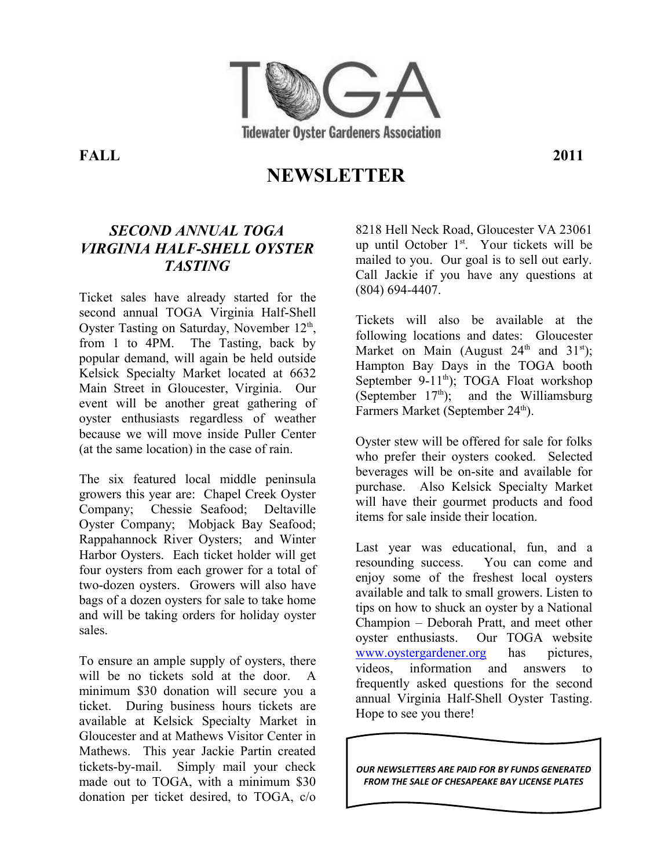

**FALL 2011**

# **NEWSLETTER**

#### *SECOND ANNUAL TOGA VIRGINIA HALF-SHELL OYSTER TASTING*

Ticket sales have already started for the second annual TOGA Virginia Half-Shell Oyster Tasting on Saturday, November 12<sup>th</sup>, from 1 to 4PM. The Tasting, back by popular demand, will again be held outside Kelsick Specialty Market located at 6632 Main Street in Gloucester, Virginia. Our event will be another great gathering of oyster enthusiasts regardless of weather because we will move inside Puller Center (at the same location) in the case of rain.

The six featured local middle peninsula growers this year are: Chapel Creek Oyster Company; Chessie Seafood; Deltaville Oyster Company; Mobjack Bay Seafood; Rappahannock River Oysters; and Winter Harbor Oysters. Each ticket holder will get four oysters from each grower for a total of two-dozen oysters. Growers will also have bags of a dozen oysters for sale to take home and will be taking orders for holiday oyster sales.

To ensure an ample supply of oysters, there will be no tickets sold at the door. A minimum \$30 donation will secure you a ticket. During business hours tickets are available at Kelsick Specialty Market in Gloucester and at Mathews Visitor Center in Mathews. This year Jackie Partin created tickets-by-mail. Simply mail your check made out to TOGA, with a minimum \$30 donation per ticket desired, to TOGA, c/o

8218 Hell Neck Road, Gloucester VA 23061 up until October 1st. Your tickets will be mailed to you. Our goal is to sell out early. Call Jackie if you have any questions at (804) 694-4407.

Tickets will also be available at the following locations and dates: Gloucester Market on Main (August  $24<sup>th</sup>$  and  $31<sup>st</sup>$ ); Hampton Bay Days in the TOGA booth September 9-11<sup>th</sup>); TOGA Float workshop (September  $17<sup>th</sup>$ ); and the Williamsburg Farmers Market (September 24<sup>th</sup>).

Oyster stew will be offered for sale for folks who prefer their oysters cooked. Selected beverages will be on-site and available for purchase. Also Kelsick Specialty Market will have their gourmet products and food items for sale inside their location.

Last year was educational, fun, and a resounding success. You can come and enjoy some of the freshest local oysters available and talk to small growers. Listen to tips on how to shuck an oyster by a National Champion – Deborah Pratt, and meet other oyster enthusiasts. Our TOGA website [www.oystergardener.org](http://www.oystergardener.org/) has pictures, videos, information and answers to frequently asked questions for the second annual Virginia Half-Shell Oyster Tasting. Hope to see you there!

*OUR NEWSLETTERS ARE PAID FOR BY FUNDS GENERATED FROM THE SALE OF CHESAPEAKE BAY LICENSE PLATES*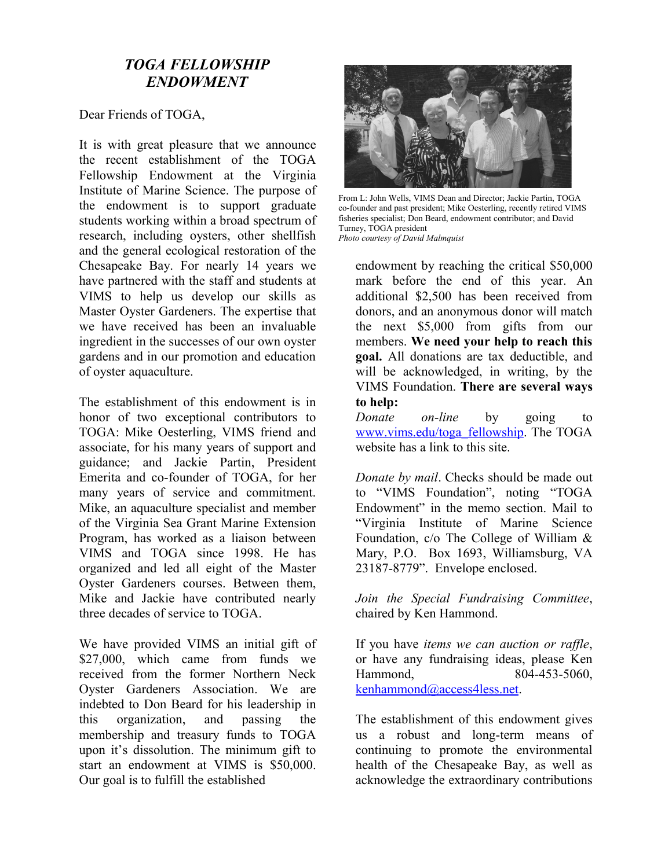#### *TOGA FELLOWSHIP ENDOWMENT*

Dear Friends of TOGA,

It is with great pleasure that we announce the recent establishment of the TOGA Fellowship Endowment at the Virginia Institute of Marine Science. The purpose of the endowment is to support graduate students working within a broad spectrum of research, including oysters, other shellfish and the general ecological restoration of the Chesapeake Bay. For nearly 14 years we have partnered with the staff and students at VIMS to help us develop our skills as Master Oyster Gardeners. The expertise that we have received has been an invaluable ingredient in the successes of our own oyster gardens and in our promotion and education of oyster aquaculture.

The establishment of this endowment is in honor of two exceptional contributors to TOGA: Mike Oesterling, VIMS friend and associate, for his many years of support and guidance; and Jackie Partin, President Emerita and co-founder of TOGA, for her many years of service and commitment. Mike, an aquaculture specialist and member of the Virginia Sea Grant Marine Extension Program, has worked as a liaison between VIMS and TOGA since 1998. He has organized and led all eight of the Master Oyster Gardeners courses. Between them, Mike and Jackie have contributed nearly three decades of service to TOGA.

We have provided VIMS an initial gift of \$27,000, which came from funds we received from the former Northern Neck Oyster Gardeners Association. We are indebted to Don Beard for his leadership in this organization, and passing the membership and treasury funds to TOGA upon it's dissolution. The minimum gift to start an endowment at VIMS is \$50,000. Our goal is to fulfill the established



From L: John Wells, VIMS Dean and Director; Jackie Partin, TOGA co-founder and past president; Mike Oesterling, recently retired VIMS fisheries specialist; Don Beard, endowment contributor; and David Turney, TOGA president *Photo courtesy of David Malmquist*

endowment by reaching the critical \$50,000 mark before the end of this year. An additional \$2,500 has been received from donors, and an anonymous donor will match the next \$5,000 from gifts from our members. **We need your help to reach this goal.** All donations are tax deductible, and will be acknowledged, in writing, by the VIMS Foundation. **There are several ways to help:**

*Donate on-line* by going to [www.vims.edu/toga\\_fellowship.](http://www.vims.edu/toga_fellowship) The TOGA website has a link to this site.

*Donate by mail*. Checks should be made out to "VIMS Foundation", noting "TOGA Endowment" in the memo section. Mail to "Virginia Institute of Marine Science Foundation, c/o The College of William & Mary, P.O. Box 1693, Williamsburg, VA 23187-8779". Envelope enclosed.

*Join the Special Fundraising Committee*, chaired by Ken Hammond.

If you have *items we can auction or raffle*, or have any fundraising ideas, please Ken Hammond, 804-453-5060, [kenhammond@access4less.net.](mailto:kenhammond@access4less.net)

The establishment of this endowment gives us a robust and long-term means of continuing to promote the environmental health of the Chesapeake Bay, as well as acknowledge the extraordinary contributions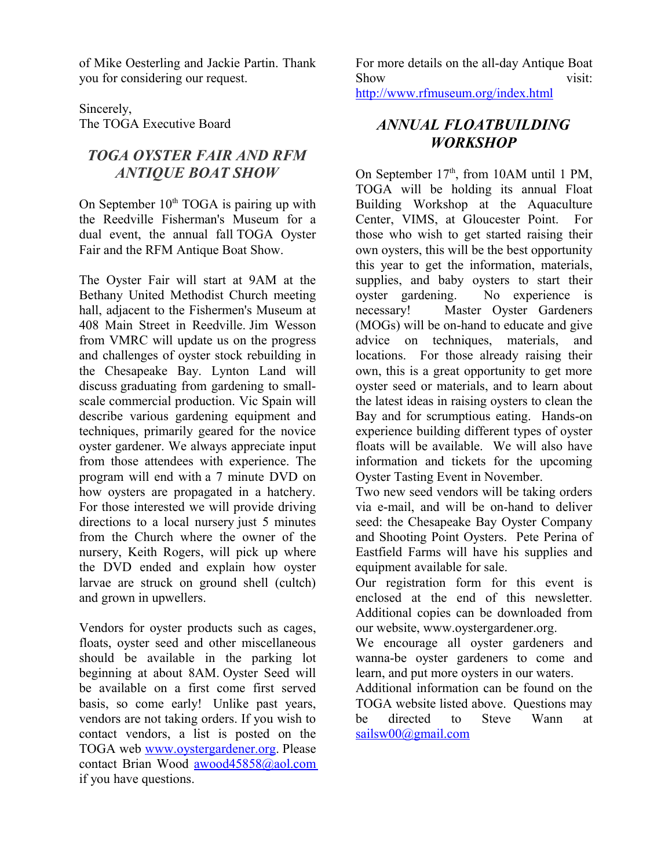of Mike Oesterling and Jackie Partin. Thank you for considering our request.

Sincerely, The TOGA Executive Board

## *TOGA OYSTER FAIR AND RFM ANTIQUE BOAT SHOW*

On September  $10<sup>th</sup> TOGA$  is pairing up with the Reedville Fisherman's Museum for a dual event, the annual fall TOGA Oyster Fair and the RFM Antique Boat Show.

The Oyster Fair will start at 9AM at the Bethany United Methodist Church meeting hall, adjacent to the Fishermen's Museum at 408 Main Street in Reedville. Jim Wesson from VMRC will update us on the progress and challenges of oyster stock rebuilding in the Chesapeake Bay. Lynton Land will discuss graduating from gardening to smallscale commercial production. Vic Spain will describe various gardening equipment and techniques, primarily geared for the novice oyster gardener. We always appreciate input from those attendees with experience. The program will end with a 7 minute DVD on how oysters are propagated in a hatchery. For those interested we will provide driving directions to a local nursery just 5 minutes from the Church where the owner of the nursery, Keith Rogers, will pick up where the DVD ended and explain how oyster larvae are struck on ground shell (cultch) and grown in upwellers.

Vendors for oyster products such as cages, floats, oyster seed and other miscellaneous should be available in the parking lot beginning at about 8AM. Oyster Seed will be available on a first come first served basis, so come early! Unlike past years, vendors are not taking orders. If you wish to contact vendors, a list is posted on the TOGA web [www.oystergardener.org.](http://www.oystergardener.org/) Please contact Brian Wood [awood45858@aol.com](mailto:awood45858@aol.com) if you have questions.

For more details on the all-day Antique Boat Show visit: <http://www.rfmuseum.org/index.html>

*ANNUAL FLOATBUILDING*

# *WORKSHOP*

On September  $17<sup>th</sup>$ , from 10AM until 1 PM, TOGA will be holding its annual Float Building Workshop at the Aquaculture Center, VIMS, at Gloucester Point. For those who wish to get started raising their own oysters, this will be the best opportunity this year to get the information, materials, supplies, and baby oysters to start their oyster gardening. No experience is necessary! Master Oyster Gardeners (MOGs) will be on-hand to educate and give advice on techniques, materials, and locations. For those already raising their own, this is a great opportunity to get more oyster seed or materials, and to learn about the latest ideas in raising oysters to clean the Bay and for scrumptious eating. Hands-on experience building different types of oyster floats will be available. We will also have information and tickets for the upcoming Oyster Tasting Event in November.

Two new seed vendors will be taking orders via e-mail, and will be on-hand to deliver seed: the Chesapeake Bay Oyster Company and Shooting Point Oysters. Pete Perina of Eastfield Farms will have his supplies and equipment available for sale.

Our registration form for this event is enclosed at the end of this newsletter. Additional copies can be downloaded from our website, www.oystergardener.org.

We encourage all oyster gardeners and wanna-be oyster gardeners to come and learn, and put more oysters in our waters.

Additional information can be found on the TOGA website listed above. Questions may be directed to Steve Wann at [sailsw00@gmail.com](mailto:sailsw00@gmail.com)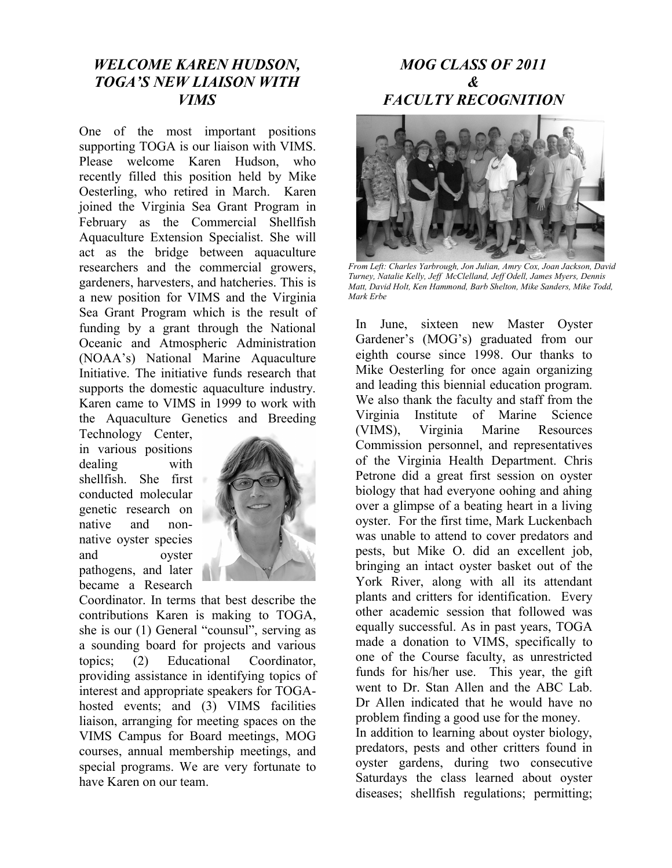#### *WELCOME KAREN HUDSON, TOGA'S NEW LIAISON WITH VIMS*

One of the most important positions supporting TOGA is our liaison with VIMS. Please welcome Karen Hudson, who recently filled this position held by Mike Oesterling, who retired in March. Karen joined the Virginia Sea Grant Program in February as the Commercial Shellfish Aquaculture Extension Specialist. She will act as the bridge between aquaculture researchers and the commercial growers, gardeners, harvesters, and hatcheries. This is a new position for VIMS and the Virginia Sea Grant Program which is the result of funding by a grant through the National Oceanic and Atmospheric Administration (NOAA's) National Marine Aquaculture Initiative. The initiative funds research that supports the domestic aquaculture industry. Karen came to VIMS in 1999 to work with the Aquaculture Genetics and Breeding

Technology Center, in various positions dealing with shellfish. She first conducted molecular genetic research on native and nonnative oyster species and oyster pathogens, and later became a Research



Coordinator. In terms that best describe the contributions Karen is making to TOGA, she is our (1) General "counsul", serving as a sounding board for projects and various topics; (2) Educational Coordinator, providing assistance in identifying topics of interest and appropriate speakers for TOGAhosted events; and (3) VIMS facilities liaison, arranging for meeting spaces on the VIMS Campus for Board meetings, MOG courses, annual membership meetings, and special programs. We are very fortunate to have Karen on our team.

## *MOG CLASS OF 2011 & FACULTY RECOGNITION*



*From Left: Charles Yarbrough, Jon Julian, Amry Cox, Joan Jackson, David Turney, Natalie Kelly, Jeff McClelland, Jeff Odell, James Myers, Dennis Matt, David Holt, Ken Hammond, Barb Shelton, Mike Sanders, Mike Todd, Mark Erbe*

In June, sixteen new Master Oyster Gardener's (MOG's) graduated from our eighth course since 1998. Our thanks to Mike Oesterling for once again organizing and leading this biennial education program. We also thank the faculty and staff from the Virginia Institute of Marine Science (VIMS), Virginia Marine Resources Commission personnel, and representatives of the Virginia Health Department. Chris Petrone did a great first session on oyster biology that had everyone oohing and ahing over a glimpse of a beating heart in a living oyster. For the first time, Mark Luckenbach was unable to attend to cover predators and pests, but Mike O. did an excellent job, bringing an intact oyster basket out of the York River, along with all its attendant plants and critters for identification. Every other academic session that followed was equally successful. As in past years, TOGA made a donation to VIMS, specifically to one of the Course faculty, as unrestricted funds for his/her use. This year, the gift went to Dr. Stan Allen and the ABC Lab. Dr Allen indicated that he would have no problem finding a good use for the money.

In addition to learning about oyster biology, predators, pests and other critters found in oyster gardens, during two consecutive Saturdays the class learned about oyster diseases; shellfish regulations; permitting;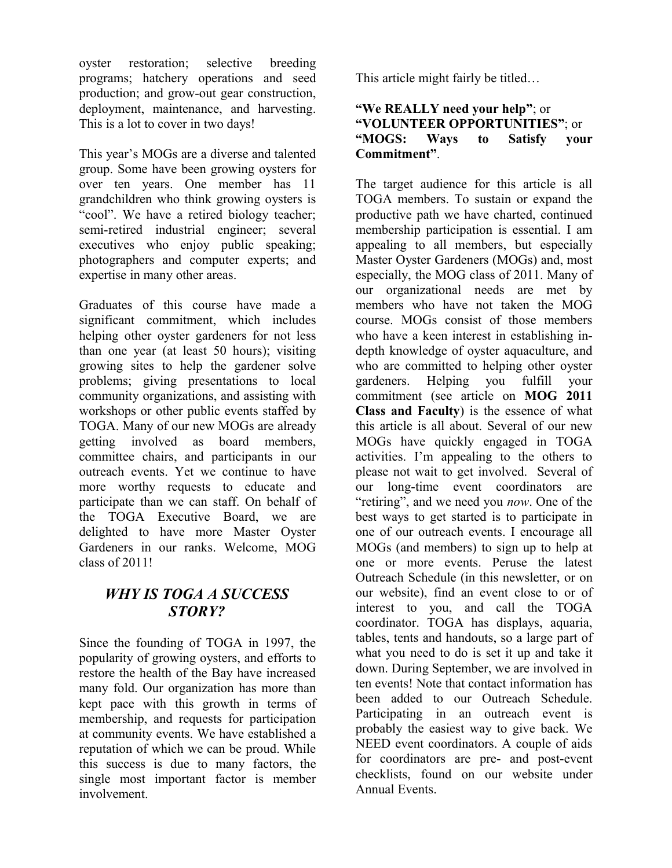oyster restoration; selective breeding programs; hatchery operations and seed production; and grow-out gear construction, deployment, maintenance, and harvesting. This is a lot to cover in two days!

This year's MOGs are a diverse and talented group. Some have been growing oysters for over ten years. One member has 11 grandchildren who think growing oysters is "cool". We have a retired biology teacher; semi-retired industrial engineer; several executives who enjoy public speaking; photographers and computer experts; and expertise in many other areas.

Graduates of this course have made a significant commitment, which includes helping other oyster gardeners for not less than one year (at least 50 hours); visiting growing sites to help the gardener solve problems; giving presentations to local community organizations, and assisting with workshops or other public events staffed by TOGA. Many of our new MOGs are already getting involved as board members, committee chairs, and participants in our outreach events. Yet we continue to have more worthy requests to educate and participate than we can staff. On behalf of the TOGA Executive Board, we are delighted to have more Master Oyster Gardeners in our ranks. Welcome, MOG class of 2011!

#### *WHY IS TOGA A SUCCESS STORY?*

Since the founding of TOGA in 1997, the popularity of growing oysters, and efforts to restore the health of the Bay have increased many fold. Our organization has more than kept pace with this growth in terms of membership, and requests for participation at community events. We have established a reputation of which we can be proud. While this success is due to many factors, the single most important factor is member involvement.

This article might fairly be titled…

#### **"We REALLY need your help"**; or **"VOLUNTEER OPPORTUNITIES"**; or **"MOGS: Ways to Satisfy your Commitment"**.

The target audience for this article is all TOGA members. To sustain or expand the productive path we have charted, continued membership participation is essential. I am appealing to all members, but especially Master Oyster Gardeners (MOGs) and, most especially, the MOG class of 2011. Many of our organizational needs are met by members who have not taken the MOG course. MOGs consist of those members who have a keen interest in establishing indepth knowledge of oyster aquaculture, and who are committed to helping other oyster gardeners. Helping you fulfill your commitment (see article on **MOG 2011 Class and Faculty**) is the essence of what this article is all about. Several of our new MOGs have quickly engaged in TOGA activities. I'm appealing to the others to please not wait to get involved. Several of our long-time event coordinators are "retiring", and we need you *now*. One of the best ways to get started is to participate in one of our outreach events. I encourage all MOGs (and members) to sign up to help at one or more events. Peruse the latest Outreach Schedule (in this newsletter, or on our website), find an event close to or of interest to you, and call the TOGA coordinator. TOGA has displays, aquaria, tables, tents and handouts, so a large part of what you need to do is set it up and take it down. During September, we are involved in ten events! Note that contact information has been added to our Outreach Schedule. Participating in an outreach event is probably the easiest way to give back. We NEED event coordinators. A couple of aids for coordinators are pre- and post-event checklists, found on our website under Annual Events.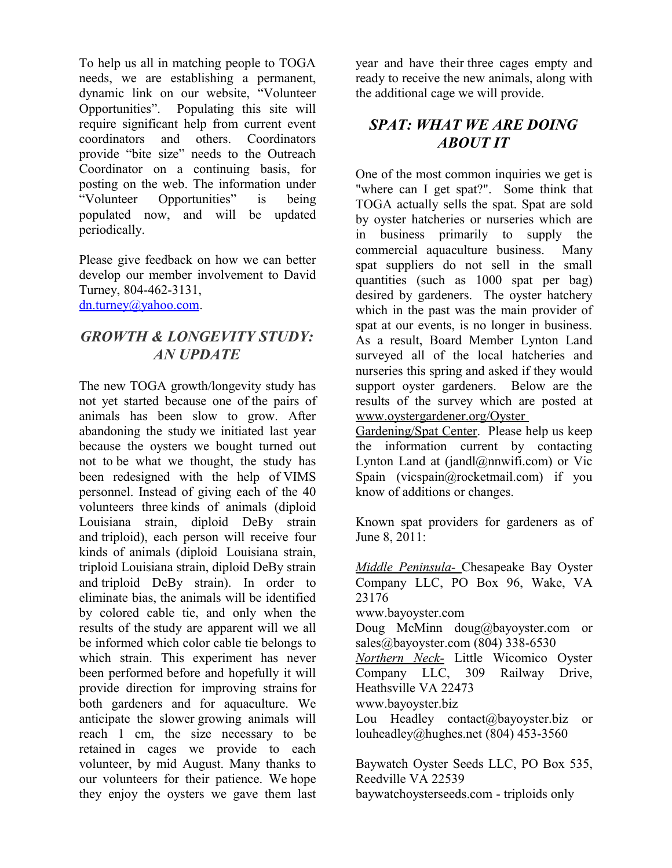To help us all in matching people to TOGA needs, we are establishing a permanent, dynamic link on our website, "Volunteer Opportunities". Populating this site will require significant help from current event coordinators and others. Coordinators provide "bite size" needs to the Outreach Coordinator on a continuing basis, for posting on the web. The information under "Volunteer Opportunities" is being populated now, and will be updated periodically.

Please give feedback on how we can better develop our member involvement to David Turney, 804-462-3131, [dn.turney@yahoo.com.](mailto:dn.turney@yahoo.com)

#### *GROWTH & LONGEVITY STUDY: AN UPDATE*

The new TOGA growth/longevity study has not yet started because one of the pairs of animals has been slow to grow. After abandoning the study we initiated last year because the oysters we bought turned out not to be what we thought, the study has been redesigned with the help of VIMS personnel. Instead of giving each of the 40 volunteers three kinds of animals (diploid Louisiana strain, diploid DeBy strain and triploid), each person will receive four kinds of animals (diploid Louisiana strain, triploid Louisiana strain, diploid DeBy strain and triploid DeBy strain). In order to eliminate bias, the animals will be identified by colored cable tie, and only when the results of the study are apparent will we all be informed which color cable tie belongs to which strain. This experiment has never been performed before and hopefully it will provide direction for improving strains for both gardeners and for aquaculture. We anticipate the slower growing animals will reach 1 cm, the size necessary to be retained in cages we provide to each volunteer, by mid August. Many thanks to our volunteers for their patience. We hope they enjoy the oysters we gave them last year and have their three cages empty and ready to receive the new animals, along with the additional cage we will provide.

#### *SPAT: WHAT WE ARE DOING ABOUT IT*

One of the most common inquiries we get is "where can I get spat?". Some think that TOGA actually sells the spat. Spat are sold by oyster hatcheries or nurseries which are in business primarily to supply the commercial aquaculture business. Many spat suppliers do not sell in the small quantities (such as 1000 spat per bag) desired by gardeners. The oyster hatchery which in the past was the main provider of spat at our events, is no longer in business. As a result, Board Member Lynton Land surveyed all of the local hatcheries and nurseries this spring and asked if they would support oyster gardeners. Below are the results of the survey which are posted at www.oystergardener.org/Oyster

Gardening/Spat Center. Please help us keep the information current by contacting Lynton Land at  $($ iandl $@$ nnwifi.com) or Vic Spain (vicspain@rocketmail.com) if you know of additions or changes.

Known spat providers for gardeners as of June 8, 2011:

 *Middle Peninsula-* Chesapeake Bay Oyster Company LLC, PO Box 96, Wake, VA 23176 www.bayoyster.com Doug McMinn doug@bayoyster.com or sales@bayoyster.com (804) 338-6530 *Northern Neck-* Little Wicomico Oyster Company LLC, 309 Railway Drive, Heathsville VA 22473 www.bayoyster.biz Lou Headley contact@bayoyster.biz or louheadley@hughes.net (804) 453-3560

Baywatch Oyster Seeds LLC, PO Box 535, Reedville VA 22539 baywatchoysterseeds.com - triploids only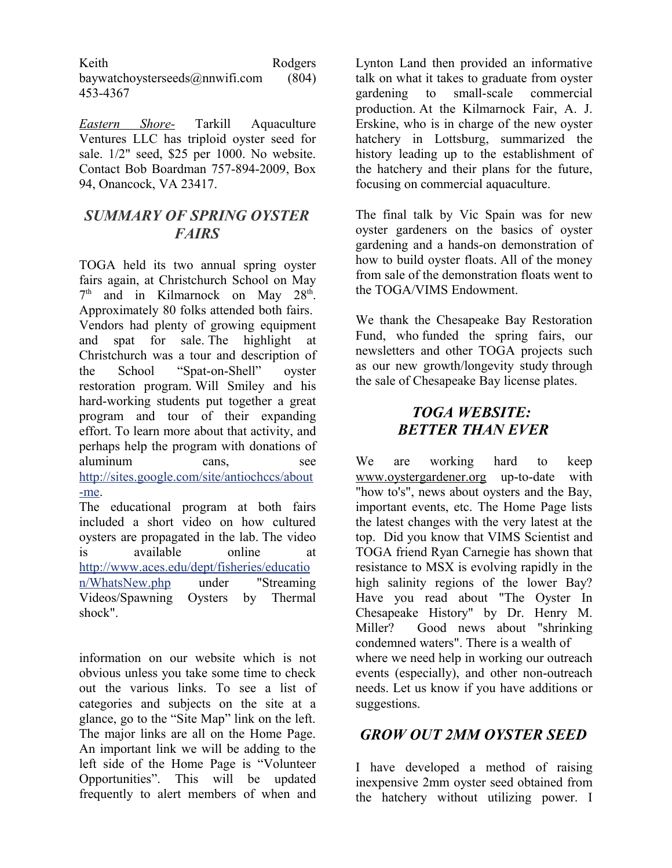Keith Rodgers baywatchoysterseeds@nnwifi.com (804) 453-4367

*Eastern Shore-* Tarkill Aquaculture Ventures LLC has triploid oyster seed for sale. 1/2" seed, \$25 per 1000. No website. Contact Bob Boardman 757-894-2009, Box 94, Onancock, VA 23417.

#### *SUMMARY OF SPRING OYSTER FAIRS*

TOGA held its two annual spring oyster fairs again, at Christchurch School on May  $7<sup>th</sup>$  and in Kilmarnock on May 28<sup>th</sup>. Approximately 80 folks attended both fairs. Vendors had plenty of growing equipment and spat for sale. The highlight at Christchurch was a tour and description of the School "Spat-on-Shell" oyster restoration program. Will Smiley and his hard-working students put together a great program and tour of their expanding effort. To learn more about that activity, and perhaps help the program with donations of aluminum cans, see [http://sites.google.com/site/antiochccs/about](http://sites.google.com/site/antiochccs/about-me) [-me.](http://sites.google.com/site/antiochccs/about-me)

The educational program at both fairs included a short video on how cultured oysters are propagated in the lab. The video is available online at [http://www.aces.edu/dept/fisheries/educatio](http://www.aces.edu/dept/fisheries/education/WhatsNew.php) [n/WhatsNew.php](http://www.aces.edu/dept/fisheries/education/WhatsNew.php) under "Streaming Videos/Spawning Oysters by Thermal shock".

information on our website which is not obvious unless you take some time to check out the various links. To see a list of categories and subjects on the site at a glance, go to the "Site Map" link on the left. The major links are all on the Home Page. An important link we will be adding to the left side of the Home Page is "Volunteer Opportunities". This will be updated frequently to alert members of when and Lynton Land then provided an informative talk on what it takes to graduate from oyster gardening to small-scale commercial production. At the Kilmarnock Fair, A. J. Erskine, who is in charge of the new oyster hatchery in Lottsburg, summarized the history leading up to the establishment of the hatchery and their plans for the future, focusing on commercial aquaculture.

The final talk by Vic Spain was for new oyster gardeners on the basics of oyster gardening and a hands-on demonstration of how to build oyster floats. All of the money from sale of the demonstration floats went to the TOGA/VIMS Endowment.

We thank the Chesapeake Bay Restoration Fund, who funded the spring fairs, our newsletters and other TOGA projects such as our new growth/longevity study through the sale of Chesapeake Bay license plates.

#### *TOGA WEBSITE: BETTER THAN EVER*

We are working hard to keep www.oystergardener.org up-to-date with "how to's", news about oysters and the Bay, important events, etc. The Home Page lists the latest changes with the very latest at the top. Did you know that VIMS Scientist and TOGA friend Ryan Carnegie has shown that resistance to MSX is evolving rapidly in the high salinity regions of the lower Bay? Have you read about "The Oyster In Chesapeake History" by Dr. Henry M. Miller? Good news about "shrinking condemned waters". There is a wealth of where we need help in working our outreach events (especially), and other non-outreach needs. Let us know if you have additions or suggestions.

#### *GROW OUT 2MM OYSTER SEED*

I have developed a method of raising inexpensive 2mm oyster seed obtained from the hatchery without utilizing power. I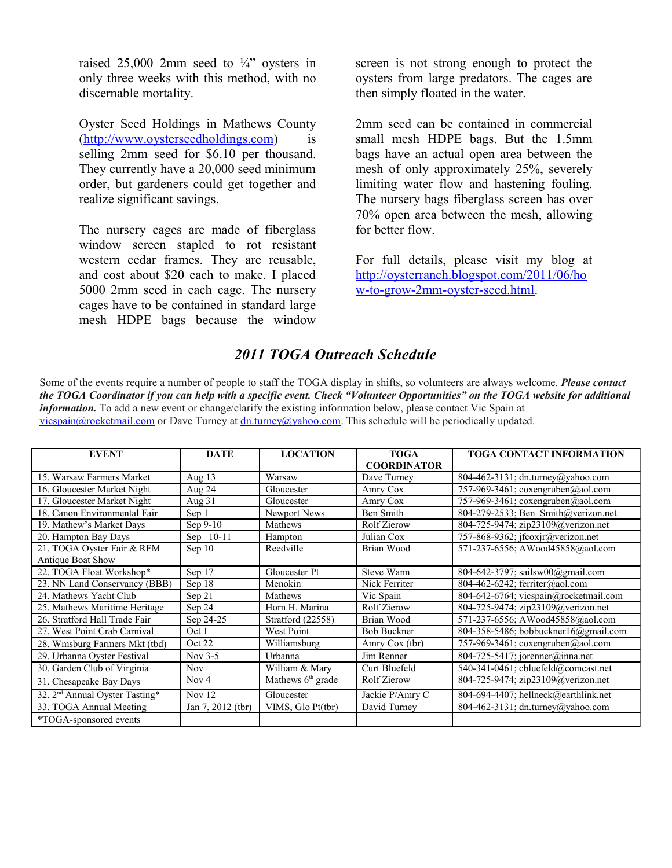raised 25,000 2mm seed to  $\frac{1}{4}$  oysters in only three weeks with this method, with no discernable mortality.

Oyster Seed Holdings in Mathews County [\(http://www.oysterseedholdings.com\)](http://www.oysterseedholdings.com/) is selling 2mm seed for \$6.10 per thousand. They currently have a 20,000 seed minimum order, but gardeners could get together and realize significant savings.

The nursery cages are made of fiberglass window screen stapled to rot resistant western cedar frames. They are reusable, and cost about \$20 each to make. I placed 5000 2mm seed in each cage. The nursery cages have to be contained in standard large mesh HDPE bags because the window

screen is not strong enough to protect the oysters from large predators. The cages are then simply floated in the water.

2mm seed can be contained in commercial small mesh HDPE bags. But the 1.5mm bags have an actual open area between the mesh of only approximately 25%, severely limiting water flow and hastening fouling. The nursery bags fiberglass screen has over 70% open area between the mesh, allowing for better flow.

For full details, please visit my blog at [http://oysterranch.blogspot.com/2011/06/ho](http://oysterranch.blogspot.com/2011/06/how-to-grow-2mm-oyster-seed.html) [w-to-grow-2mm-oyster-seed.html.](http://oysterranch.blogspot.com/2011/06/how-to-grow-2mm-oyster-seed.html)

#### *2011 TOGA Outreach Schedule*

Some of the events require a number of people to staff the TOGA display in shifts, so volunteers are always welcome. *Please contact the TOGA Coordinator if you can help with a specific event. Check "Volunteer Opportunities" on the TOGA website for additional information.* To add a new event or change/clarify the existing information below, please contact Vic Spain at [vicspain@rocketmail.com](mailto:vicspain@rocketmail.com) or Dave Turney at [dn.turney@yahoo.com.](mailto:dn.turney@yahoo.com) This schedule will be periodically updated.

| <b>EVENT</b>                               | <b>DATE</b>       | <b>LOCATION</b>     | <b>TOGA</b>          | <b>TOGA CONTACT INFORMATION</b>       |
|--------------------------------------------|-------------------|---------------------|----------------------|---------------------------------------|
|                                            |                   |                     | <b>COORDINATOR</b>   |                                       |
| 15. Warsaw Farmers Market                  | Aug $13$          | Warsaw              | Dave Turney          | 804-462-3131; dn.turney@yahoo.com     |
| 16. Gloucester Market Night                | Aug 24            | Gloucester          | Amry Cox             | 757-969-3461; coxengruben@aol.com     |
| 17. Gloucester Market Night                | Aug 31            | Gloucester          | Amry Cox             | 757-969-3461; coxengruben@aol.com     |
| 18. Canon Environmental Fair               | Sep 1             | Newport News        | Ben Smith            | 804-279-2533; Ben Smith@verizon.net   |
| 19. Mathew's Market Days                   | Sep $9-10$        | Mathews             | Rolf Zierow          | 804-725-9474; zip23109@verizon.net    |
| 20. Hampton Bay Days                       | Sep 10-11         | Hampton             | Julian Cox           | 757-868-9362; jfcoxjr@verizon.net     |
| 21. TOGA Oyster Fair & RFM                 | Sep 10            | Reedville           | Brian Wood           | 571-237-6556; AWood45858@aol.com      |
| Antique Boat Show                          |                   |                     |                      |                                       |
| 22. TOGA Float Workshop*                   | Sep 17            | Gloucester Pt       | Steve Wann           | 804-642-3797; sailsw00@gmail.com      |
| 23. NN Land Conservancy (BBB)              | Sep 18            | Menokin             | Nick Ferriter        | 804-462-6242; ferriter@aol.com        |
| 24. Mathews Yacht Club                     | Sep 21            | Mathews             | Vic Spain            | 804-642-6764; vicspain@rocketmail.com |
| 25. Mathews Maritime Heritage              | Sep 24            | Horn H. Marina      | Rolf Zierow          | 804-725-9474; zip23109@verizon.net    |
| 26. Stratford Hall Trade Fair              | Sep 24-25         | Stratford (22558)   | Brian Wood           | 571-237-6556; AWood45858@aol.com      |
| 27. West Point Crab Carnival               | Oct 1             | West Point          | <b>Bob Buckner</b>   | 804-358-5486; bobbuckner16@gmail.com  |
| 28. Wmsburg Farmers Mkt (tbd)              | Oct 22            | Williamsburg        | Amry Cox (tbr)       | 757-969-3461; coxengruben@aol.com     |
| 29. Urbanna Oyster Festival                | Nov $3-5$         | Urbanna             | Jim Renner           | 804-725-5417; jorenner@inna.net       |
| 30. Garden Club of Virginia                | <b>Nov</b>        | William & Mary      | <b>Curt Bluefeld</b> | 540-341-0461; cbluefeld@comcast.net   |
| 31. Chesapeake Bay Days                    | Nov $4$           | Mathews $6th$ grade | <b>Rolf Zierow</b>   | 804-725-9474; zip23109@verizon.net    |
| 32. 2 <sup>nd</sup> Annual Oyster Tasting* | Nov $12$          | Gloucester          | Jackie P/Amry C      | 804-694-4407; hellneck@earthlink.net  |
| 33. TOGA Annual Meeting                    | Jan 7, 2012 (tbr) | VIMS, Glo Pt(tbr)   | David Turney         | 804-462-3131; dn.turney@yahoo.com     |
| *TOGA-sponsored events                     |                   |                     |                      |                                       |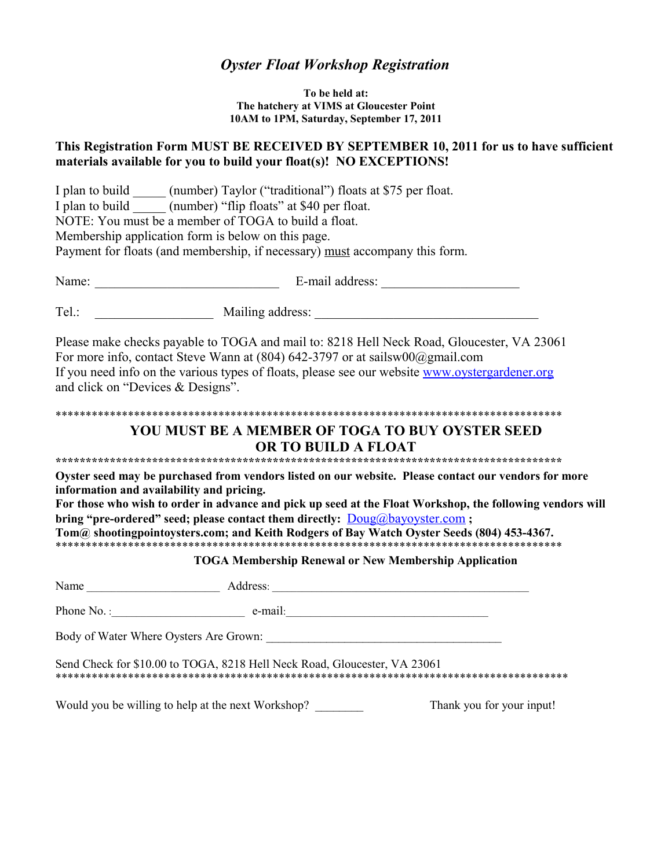## *Oyster Float Workshop Registration*

**To be held at: The hatchery at VIMS at Gloucester Point 10AM to 1PM, Saturday, September 17, 2011**

#### **This Registration Form MUST BE RECEIVED BY SEPTEMBER 10, 2011 for us to have sufficient materials available for you to build your float(s)! NO EXCEPTIONS!**

|                                           | I plan to build _______ (number) Taylor ("traditional") floats at \$75 per float.<br>I plan to build ________ (number) "flip floats" at \$40 per float.<br>NOTE: You must be a member of TOGA to build a float.<br>Membership application form is below on this page.<br>Payment for floats (and membership, if necessary) must accompany this form. |                                                                                                                                                                                                                   |
|-------------------------------------------|------------------------------------------------------------------------------------------------------------------------------------------------------------------------------------------------------------------------------------------------------------------------------------------------------------------------------------------------------|-------------------------------------------------------------------------------------------------------------------------------------------------------------------------------------------------------------------|
|                                           |                                                                                                                                                                                                                                                                                                                                                      |                                                                                                                                                                                                                   |
|                                           |                                                                                                                                                                                                                                                                                                                                                      |                                                                                                                                                                                                                   |
| and click on "Devices & Designs".         | For more info, contact Steve Wann at $(804)$ 642-3797 or at sailsw $00\omega$ gmail.com<br>If you need info on the various types of floats, please see our website www.oystergardener.org                                                                                                                                                            | Please make checks payable to TOGA and mail to: 8218 Hell Neck Road, Gloucester, VA 23061                                                                                                                         |
|                                           |                                                                                                                                                                                                                                                                                                                                                      |                                                                                                                                                                                                                   |
|                                           | YOU MUST BE A MEMBER OF TOGA TO BUY OYSTER SEED<br>OR TO BUILD A FLOAT                                                                                                                                                                                                                                                                               |                                                                                                                                                                                                                   |
| information and availability and pricing. | bring "pre-ordered" seed; please contact them directly: <b>Doug@bayoyster.com</b> ;<br><b>TOGA Membership Renewal or New Membership Application</b>                                                                                                                                                                                                  | Oyster seed may be purchased from vendors listed on our website. Please contact our vendors for more<br>For those who wish to order in advance and pick up seed at the Float Workshop, the following vendors will |
|                                           |                                                                                                                                                                                                                                                                                                                                                      |                                                                                                                                                                                                                   |
|                                           | Phone No. : $e-mail$ : $e-mail$ : $e-mail$ : $e-mail$ : $e-mail$ : $e-mail$                                                                                                                                                                                                                                                                          |                                                                                                                                                                                                                   |
|                                           | Body of Water Where Oysters Are Grown:                                                                                                                                                                                                                                                                                                               |                                                                                                                                                                                                                   |
|                                           | Send Check for \$10.00 to TOGA, 8218 Hell Neck Road, Gloucester, VA 23061                                                                                                                                                                                                                                                                            |                                                                                                                                                                                                                   |
|                                           | Would you be willing to help at the next Workshop?                                                                                                                                                                                                                                                                                                   | Thank you for your input!                                                                                                                                                                                         |